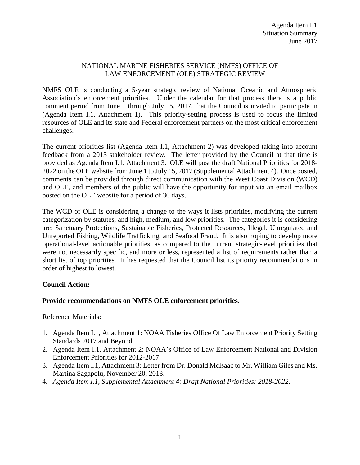#### NATIONAL MARINE FISHERIES SERVICE (NMFS) OFFICE OF LAW ENFORCEMENT (OLE) STRATEGIC REVIEW

NMFS OLE is conducting a 5-year strategic review of National Oceanic and Atmospheric Association's enforcement priorities. Under the calendar for that process there is a public comment period from June 1 through July 15, 2017, that the Council is invited to participate in (Agenda Item I.1, Attachment 1). This priority-setting process is used to focus the limited resources of OLE and its state and Federal enforcement partners on the most critical enforcement challenges.

The current priorities list (Agenda Item I.1, Attachment 2) was developed taking into account feedback from a 2013 stakeholder review. The letter provided by the Council at that time is provided as Agenda Item I.1, Attachment 3. OLE will post the draft National Priorities for 2018- 2022 on the OLE website from June 1 to July 15, 2017 (Supplemental Attachment 4). Once posted, comments can be provided through direct communication with the West Coast Division (WCD) and OLE, and members of the public will have the opportunity for input via an email mailbox posted on the OLE website for a period of 30 days.

The WCD of OLE is considering a change to the ways it lists priorities, modifying the current categorization by statutes, and high, medium, and low priorities. The categories it is considering are: Sanctuary Protections, Sustainable Fisheries, Protected Resources, Illegal, Unregulated and Unreported Fishing, Wildlife Trafficking, and Seafood Fraud. It is also hoping to develop more operational-level actionable priorities, as compared to the current strategic-level priorities that were not necessarily specific, and more or less, represented a list of requirements rather than a short list of top priorities. It has requested that the Council list its priority recommendations in order of highest to lowest.

## **Council Action:**

## **Provide recommendations on NMFS OLE enforcement priorities.**

#### Reference Materials:

- 1. Agenda Item I.1, Attachment 1: NOAA Fisheries Office Of Law Enforcement Priority Setting Standards 2017 and Beyond.
- 2. Agenda Item I.1, Attachment 2: NOAA's Office of Law Enforcement National and Division Enforcement Priorities for 2012-2017.
- 3. Agenda Item I.1, Attachment 3: Letter from Dr. Donald McIsaac to Mr. William Giles and Ms. Martina Sagapolu, November 20, 2013.
- 4. *Agenda Item I.1, Supplemental Attachment 4: Draft National Priorities: 2018-2022.*